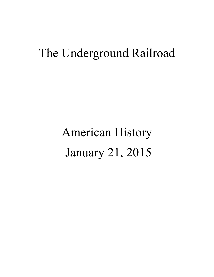## The Underground Railroad

## American History January 21, 2015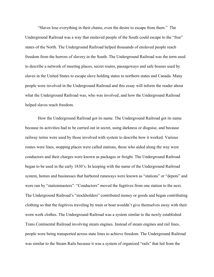"Slaves lose everything in their chains, even the desire to escape from them." The Underground Railroad was a way that enslaved people of the South could escape to the "free" states of the North. The Underground Railroad helped thousands of enslaved people reach freedom from the horrors of slavery in the South. The Underground Railroad was the term used to describe a network of meeting places, secret routes, passageways and safe houses used by slaves in the United States to escape slave holding states to northern states and Canada. Many people were involved in the Underground Railroad and this essay will inform the reader about what the Underground Railroad was, who was involved, and how the Underground Railroad helped slaves reach freedom.

How the Underground Railroad got its name. The Underground Railroad got its name because its activities had to be carried out in secret, using darkness or disguise, and because railway terms were used by those involved with system to describe how it worked. Various routes were lines, stopping places were called stations, those who aided along the way were conductors and their charges were known as packages or freight. The Underground Railroad began to be used in the early 1830's. In keeping with the name of the Underground Railroad system, homes and businesses that harbored runaways were known as "stations" or "depots" and were run by "stationmasters". "Conductors" moved the fugitives from one station to the next. The Underground Railroad's "stockholders" contributed money or goods and began contributing clothing so that the fugitives traveling by train or boat wouldn't give themselves away with their worn work clothes. The Underground Railroad was a system similar to the newly established Trans Continental Railroad involving steam engines. Instead of steam engines and rail lines, people were being transported across state lines to achieve freedom. The Underground Railroad was similar to the Steam Rails because it was a system of organized "rails" that led from the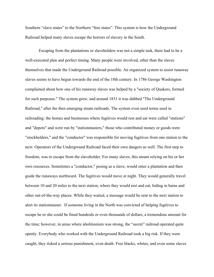Southern "slave states" to the Northern "free states". This system is how the Underground Railroad helped many slaves escape the horrors of slavery in the South.

 Escaping from the plantations or slaveholders was not a simple task, there had to be a well-executed plan and perfect timing. Many people were involved, other than the slaves themselves that made the Underground Railroad possible. An organized system to assist runaway slaves seems to have begun towards the end of the 18th century. In 1786 George Washington complained about how one of his runaway slaves was helped by a "society of Quakers, formed for such purposes." The system grew, and around 1831 it was dubbed "The Underground Railroad," after the then emerging steam railroads. The system even used terms used in railroading: the homes and businesses where fugitives would rest and eat were called "stations" and "depots" and were run by "stationmasters," those who contributed money or goods were "stockholders," and the "conductor" was responsible for moving fugitives from one station to the next. Operators of the Underground Railroad faced their own dangers as well. The first step to freedom, was to escape from the slaveholder. For many slaves, this meant relying on his or her own resources. Sometimes a "conductor," posing as a slave, would enter a plantation and then guide the runaways northward. The fugitives would move at night. They would generally travel between 10 and 20 miles to the next station, where they would rest and eat, hiding in barns and other out-of-the-way places. While they waited, a message would be sent to the next station to alert its stationmaster. If someone living in the North was convicted of helping fugitives to escape he or she could be fined hundreds or even thousands of dollars, a tremendous amount for the time; however, in areas where abolitionism was strong, the "secret" railroad operated quite openly. Everybody who worked with the Underground Railroad took a big risk. If they were caught, they risked a serious punishment, even death. Free blacks, whites, and even some slaves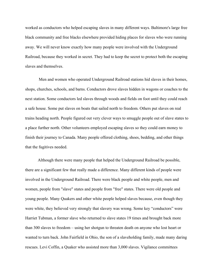worked as conductors who helped escaping slaves in many different ways. Baltimore's large free black community and free blacks elsewhere provided hiding places for slaves who were running away. We will never know exactly how many people were involved with the Underground Railroad, because they worked in secret. They had to keep the secret to protect both the escaping slaves and themselves.

 Men and women who operated Underground Railroad stations hid slaves in their homes, shops, churches, schools, and barns. Conductors drove slaves hidden in wagons or coaches to the next station. Some conductors led slaves through woods and fields on foot until they could reach a safe house. Some put slaves on boats that sailed north to freedom. Others put slaves on real trains heading north. People figured out very clever ways to smuggle people out of slave states to a place further north. Other volunteers employed escaping slaves so they could earn money to finish their journey to Canada. Many people offered clothing, shoes, bedding, and other things that the fugitives needed.

Although there were many people that helped the Underground Railroad be possible, there are a significant few that really made a difference. Many different kinds of people were involved in the Underground Railroad. There were black people and white people, men and women, people from "slave" states and people from "free" states. There were old people and young people. Many Quakers and other white people helped slaves because, even though they were white, they believed very strongly that slavery was wrong. Some key "conductors" were Harriet Tubman, a former slave who returned to slave states 19 times and brought back more than 300 slaves to freedom – using her shotgun to threaten death on anyone who lost heart or wanted to turn back. John Fairfield in Ohio, the son of a slaveholding family, made many daring rescues. Levi Coffin, a Quaker who assisted more than 3,000 slaves. Vigilance committees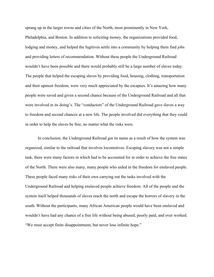sprang up in the larger towns and cities of the North, most prominently in New York, Philadelphia, and Boston. In addition to soliciting money, the organizations provided food, lodging and money, and helped the fugitives settle into a community by helping them find jobs and providing letters of recommendation. Without these people the Underground Railroad wouldn't have been possible and there would probably still be a large number of slaves today. The people that helped the escaping slaves by providing food, housing, clothing, transportation and their upmost freedom, were very much appreciated by the escapees. It's amazing how many people were saved and given a second chance because of the Underground Railroad and all that were involved in its doing's. The "conductors" of the Underground Railroad gave slaves a way to freedom and second chances at a new life. The people involved did everything that they could in order to help the slaves be free, no matter what the risks were.

In conclusion, the Underground Railroad got its name as a result of how the system was organized, similar to the railroad that involves locomotives. Escaping slavery was not a simple task, there were many factors in which had to be accounted for in order to achieve the free states of the North. There were also many, many people who aided in the freedom for enslaved people. These people faced many risks of their own carrying out the tasks involved with the Underground Railroad and helping enslaved people achieve freedom. All of the people and the system itself helped thousands of slaves reach the north and escape the horrors of slavery in the south. Without the participants, many African American people would have been enslaved and wouldn't have had any chance of a free life without being abused, poorly paid, and over worked. "We must accept finite disappointment, but never lose infinite hope."